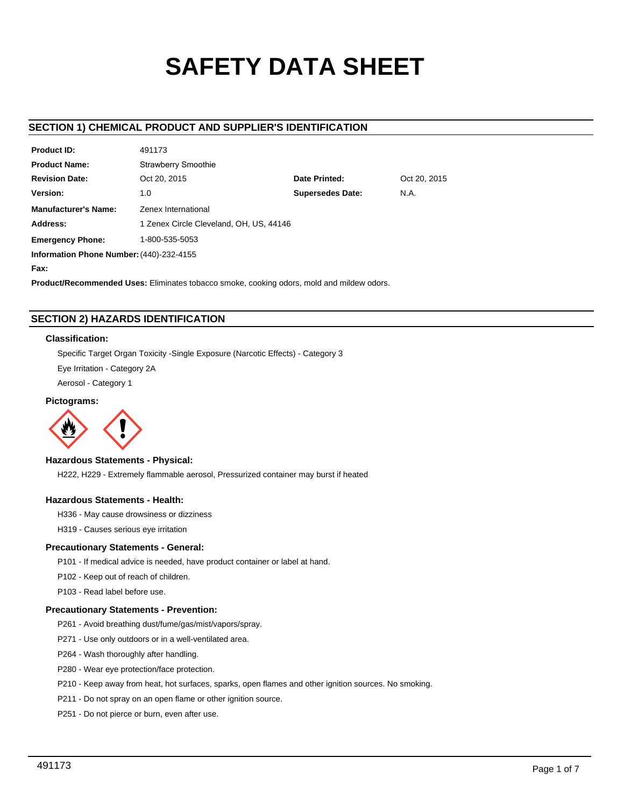# **SAFETY DATA SHEET**

# **SECTION 1) CHEMICAL PRODUCT AND SUPPLIER'S IDENTIFICATION**

 $49.173$ 

| <b>Product ID:</b>                       | 491173                                  |                         |              |
|------------------------------------------|-----------------------------------------|-------------------------|--------------|
| <b>Product Name:</b>                     | <b>Strawberry Smoothie</b>              |                         |              |
| <b>Revision Date:</b>                    | Oct 20, 2015                            | Date Printed:           | Oct 20, 2015 |
| Version:                                 | 1.0                                     | <b>Supersedes Date:</b> | N.A.         |
| <b>Manufacturer's Name:</b>              | Zenex International                     |                         |              |
| Address:                                 | 1 Zenex Circle Cleveland, OH, US, 44146 |                         |              |
| <b>Emergency Phone:</b>                  | 1-800-535-5053                          |                         |              |
| Information Phone Number: (440)-232-4155 |                                         |                         |              |
| Fax:                                     |                                         |                         |              |

**Product/Recommended Uses:** Eliminates tobacco smoke, cooking odors, mold and mildew odors.

# **SECTION 2) HAZARDS IDENTIFICATION**

# **Classification:**

Specific Target Organ Toxicity -Single Exposure (Narcotic Effects) - Category 3

Eye Irritation - Category 2A

Aerosol - Category 1

# **Pictograms:**



# **Hazardous Statements - Physical:**

H222, H229 - Extremely flammable aerosol, Pressurized container may burst if heated

# **Hazardous Statements - Health:**

H336 - May cause drowsiness or dizziness

H319 - Causes serious eye irritation

# **Precautionary Statements - General:**

P101 - If medical advice is needed, have product container or label at hand.

P102 - Keep out of reach of children.

P103 - Read label before use.

# **Precautionary Statements - Prevention:**

- P261 Avoid breathing dust/fume/gas/mist/vapors/spray.
- P271 Use only outdoors or in a well-ventilated area.
- P264 Wash thoroughly after handling.
- P280 Wear eye protection/face protection.
- P210 Keep away from heat, hot surfaces, sparks, open flames and other ignition sources. No smoking.
- P211 Do not spray on an open flame or other ignition source.
- P251 Do not pierce or burn, even after use.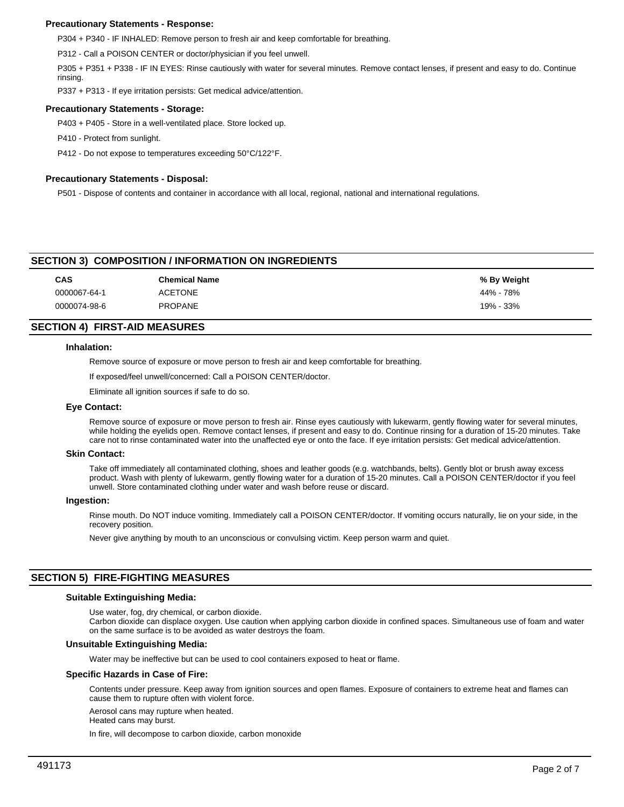# **Precautionary Statements - Response:**

P304 + P340 - IF INHALED: Remove person to fresh air and keep comfortable for breathing.

P312 - Call a POISON CENTER or doctor/physician if you feel unwell.

P305 + P351 + P338 - IF IN EYES: Rinse cautiously with water for several minutes. Remove contact lenses, if present and easy to do. Continue rinsing.

P337 + P313 - If eye irritation persists: Get medical advice/attention.

## **Precautionary Statements - Storage:**

P403 + P405 - Store in a well-ventilated place. Store locked up.

P410 - Protect from sunlight.

P412 - Do not expose to temperatures exceeding 50°C/122°F.

# **Precautionary Statements - Disposal:**

P501 - Dispose of contents and container in accordance with all local, regional, national and international regulations.

# **SECTION 3) COMPOSITION / INFORMATION ON INGREDIENTS**

| CAS          | <b>Chemical Name</b> | % By Weight |
|--------------|----------------------|-------------|
| 0000067-64-1 | <b>ACETONE</b>       | 44% - 78%   |
| 0000074-98-6 | <b>PROPANE</b>       | 19% - 33%   |

# **SECTION 4) FIRST-AID MEASURES**

### **Inhalation:**

Remove source of exposure or move person to fresh air and keep comfortable for breathing.

If exposed/feel unwell/concerned: Call a POISON CENTER/doctor.

Eliminate all ignition sources if safe to do so.

# **Eye Contact:**

Remove source of exposure or move person to fresh air. Rinse eyes cautiously with lukewarm, gently flowing water for several minutes, while holding the eyelids open. Remove contact lenses, if present and easy to do. Continue rinsing for a duration of 15-20 minutes. Take care not to rinse contaminated water into the unaffected eye or onto the face. If eye irritation persists: Get medical advice/attention.

#### **Skin Contact:**

Take off immediately all contaminated clothing, shoes and leather goods (e.g. watchbands, belts). Gently blot or brush away excess product. Wash with plenty of lukewarm, gently flowing water for a duration of 15-20 minutes. Call a POISON CENTER/doctor if you feel unwell. Store contaminated clothing under water and wash before reuse or discard.

#### **Ingestion:**

Rinse mouth. Do NOT induce vomiting. Immediately call a POISON CENTER/doctor. If vomiting occurs naturally, lie on your side, in the recovery position.

Never give anything by mouth to an unconscious or convulsing victim. Keep person warm and quiet.

# **SECTION 5) FIRE-FIGHTING MEASURES**

# **Suitable Extinguishing Media:**

Use water, fog, dry chemical, or carbon dioxide.

Carbon dioxide can displace oxygen. Use caution when applying carbon dioxide in confined spaces. Simultaneous use of foam and water on the same surface is to be avoided as water destroys the foam.

# **Unsuitable Extinguishing Media:**

Water may be ineffective but can be used to cool containers exposed to heat or flame.

#### **Specific Hazards in Case of Fire:**

Contents under pressure. Keep away from ignition sources and open flames. Exposure of containers to extreme heat and flames can cause them to rupture often with violent force.

Aerosol cans may rupture when heated.

Heated cans may burst.

In fire, will decompose to carbon dioxide, carbon monoxide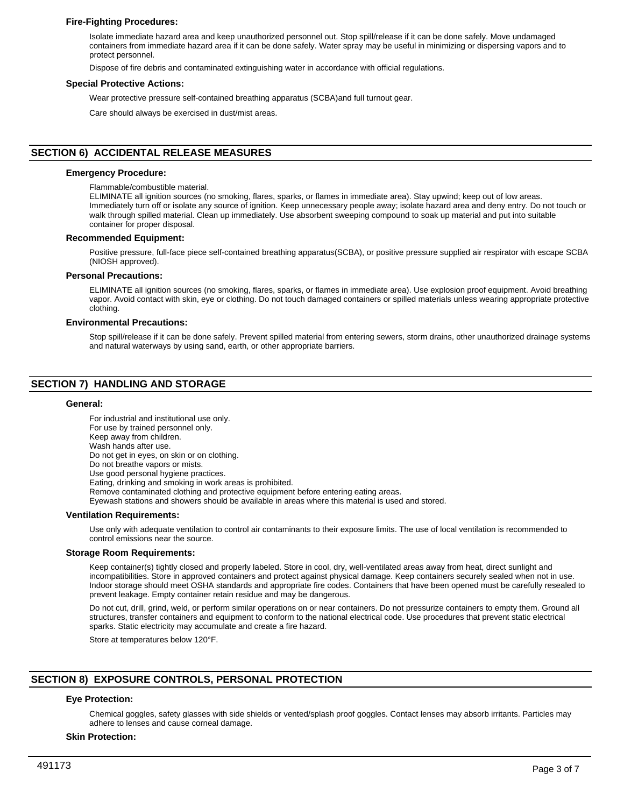# **Fire-Fighting Procedures:**

Isolate immediate hazard area and keep unauthorized personnel out. Stop spill/release if it can be done safely. Move undamaged containers from immediate hazard area if it can be done safely. Water spray may be useful in minimizing or dispersing vapors and to protect personnel.

Dispose of fire debris and contaminated extinguishing water in accordance with official regulations.

#### **Special Protective Actions:**

Wear protective pressure self-contained breathing apparatus (SCBA)and full turnout gear.

Care should always be exercised in dust/mist areas.

# **SECTION 6) ACCIDENTAL RELEASE MEASURES**

#### **Emergency Procedure:**

Flammable/combustible material.

ELIMINATE all ignition sources (no smoking, flares, sparks, or flames in immediate area). Stay upwind; keep out of low areas. Immediately turn off or isolate any source of ignition. Keep unnecessary people away; isolate hazard area and deny entry. Do not touch or walk through spilled material. Clean up immediately. Use absorbent sweeping compound to soak up material and put into suitable container for proper disposal.

#### **Recommended Equipment:**

Positive pressure, full-face piece self-contained breathing apparatus(SCBA), or positive pressure supplied air respirator with escape SCBA (NIOSH approved).

#### **Personal Precautions:**

ELIMINATE all ignition sources (no smoking, flares, sparks, or flames in immediate area). Use explosion proof equipment. Avoid breathing vapor. Avoid contact with skin, eye or clothing. Do not touch damaged containers or spilled materials unless wearing appropriate protective clothing.

#### **Environmental Precautions:**

Stop spill/release if it can be done safely. Prevent spilled material from entering sewers, storm drains, other unauthorized drainage systems and natural waterways by using sand, earth, or other appropriate barriers.

# **SECTION 7) HANDLING AND STORAGE**

#### **General:**

For industrial and institutional use only. For use by trained personnel only. Keep away from children. Wash hands after use. Do not get in eyes, on skin or on clothing. Do not breathe vapors or mists. Use good personal hygiene practices. Eating, drinking and smoking in work areas is prohibited. Remove contaminated clothing and protective equipment before entering eating areas. Eyewash stations and showers should be available in areas where this material is used and stored. **Ventilation Requirements:**

Use only with adequate ventilation to control air contaminants to their exposure limits. The use of local ventilation is recommended to control emissions near the source.

#### **Storage Room Requirements:**

Keep container(s) tightly closed and properly labeled. Store in cool, dry, well-ventilated areas away from heat, direct sunlight and incompatibilities. Store in approved containers and protect against physical damage. Keep containers securely sealed when not in use. Indoor storage should meet OSHA standards and appropriate fire codes. Containers that have been opened must be carefully resealed to prevent leakage. Empty container retain residue and may be dangerous.

Do not cut, drill, grind, weld, or perform similar operations on or near containers. Do not pressurize containers to empty them. Ground all structures, transfer containers and equipment to conform to the national electrical code. Use procedures that prevent static electrical sparks. Static electricity may accumulate and create a fire hazard.

Store at temperatures below 120°F.

# **SECTION 8) EXPOSURE CONTROLS, PERSONAL PROTECTION**

# **Eye Protection:**

Chemical goggles, safety glasses with side shields or vented/splash proof goggles. Contact lenses may absorb irritants. Particles may adhere to lenses and cause corneal damage.

#### **Skin Protection:**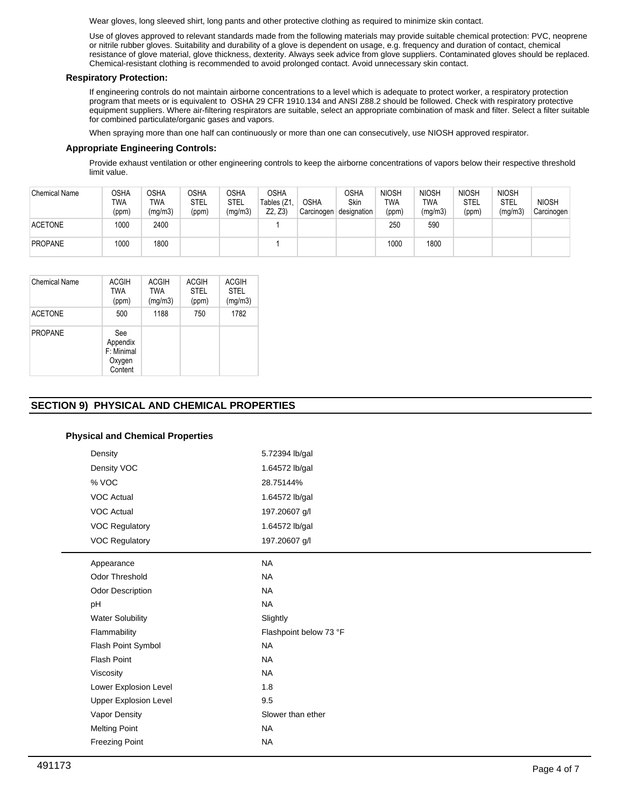Wear gloves, long sleeved shirt, long pants and other protective clothing as required to minimize skin contact.

Use of gloves approved to relevant standards made from the following materials may provide suitable chemical protection: PVC, neoprene or nitrile rubber gloves. Suitability and durability of a glove is dependent on usage, e.g. frequency and duration of contact, chemical resistance of glove material, glove thickness, dexterity. Always seek advice from glove suppliers. Contaminated gloves should be replaced. Chemical-resistant clothing is recommended to avoid prolonged contact. Avoid unnecessary skin contact.

# **Respiratory Protection:**

If engineering controls do not maintain airborne concentrations to a level which is adequate to protect worker, a respiratory protection program that meets or is equivalent to OSHA 29 CFR 1910.134 and ANSI Z88.2 should be followed. Check with respiratory protective equipment suppliers. Where air-filtering respirators are suitable, select an appropriate combination of mask and filter. Select a filter suitable for combined particulate/organic gases and vapors.

When spraying more than one half can continuously or more than one can consecutively, use NIOSH approved respirator.

# **Appropriate Engineering Controls:**

Provide exhaust ventilation or other engineering controls to keep the airborne concentrations of vapors below their respective threshold limit value.

| <b>Chemical Name</b> | OSHA<br><b>TWA</b><br>(ppm) | <b>OSHA</b><br>TWA<br>(mg/m3) | <b>OSHA</b><br><b>STEL</b><br>(ppm) | OSHA<br><b>STEL</b><br>(mg/m3) | <b>OSHA</b><br>Tables (Z1,<br>Z2, Z3 | <b>OSHA</b><br>Carcinogen | OSHA<br>Skin<br>designation | <b>NIOSH</b><br>TWA<br>(ppm) | <b>NIOSH</b><br>TWA<br>(mg/m3) | <b>NIOSH</b><br>STEL<br>(ppm) | <b>NIOSH</b><br>STEL<br>(mg/m3) | <b>NIOSH</b><br>Carcinogen |
|----------------------|-----------------------------|-------------------------------|-------------------------------------|--------------------------------|--------------------------------------|---------------------------|-----------------------------|------------------------------|--------------------------------|-------------------------------|---------------------------------|----------------------------|
| <b>ACETONE</b>       | 1000                        | 2400                          |                                     |                                |                                      |                           |                             | 250                          | 590                            |                               |                                 |                            |
| <b>PROPANE</b>       | 1000                        | 1800                          |                                     |                                |                                      |                           |                             | 1000                         | 1800                           |                               |                                 |                            |

| Chemical Name  | <b>ACGIH</b><br>TWA<br>(ppm)                       | <b>ACGIH</b><br>TWA<br>(mg/m3) | <b>ACGIH</b><br><b>STEL</b><br>(ppm) | <b>ACGIH</b><br><b>STEL</b><br>(mg/m3) |
|----------------|----------------------------------------------------|--------------------------------|--------------------------------------|----------------------------------------|
| <b>ACETONE</b> | 500                                                | 1188                           | 750                                  | 1782                                   |
| <b>PROPANE</b> | See<br>Appendix<br>F: Minimal<br>Oxygen<br>Content |                                |                                      |                                        |

# **SECTION 9) PHYSICAL AND CHEMICAL PROPERTIES**

# **Physical and Chemical Properties**

| Density                      | 5.72394 lb/gal         |
|------------------------------|------------------------|
| Density VOC                  | 1.64572 lb/gal         |
| % VOC                        | 28.75144%              |
| <b>VOC Actual</b>            | 1.64572 lb/gal         |
| <b>VOC Actual</b>            | 197.20607 g/l          |
| <b>VOC Regulatory</b>        | 1.64572 lb/gal         |
| <b>VOC Regulatory</b>        | 197.20607 g/l          |
| Appearance                   | <b>NA</b>              |
| Odor Threshold               | <b>NA</b>              |
| Odor Description             | <b>NA</b>              |
|                              | <b>NA</b>              |
| <b>Water Solubility</b>      | Slightly               |
| Flammability                 | Flashpoint below 73 °F |
| Flash Point Symbol           | <b>NA</b>              |
| Flash Point                  | <b>NA</b>              |
| Viscosity                    | <b>NA</b>              |
| Lower Explosion Level        | 1.8                    |
| <b>Upper Explosion Level</b> | 9.5                    |
| Vapor Density                | Slower than ether      |
| <b>Melting Point</b>         | <b>NA</b>              |
| <b>Freezing Point</b>        | <b>NA</b>              |
|                              |                        |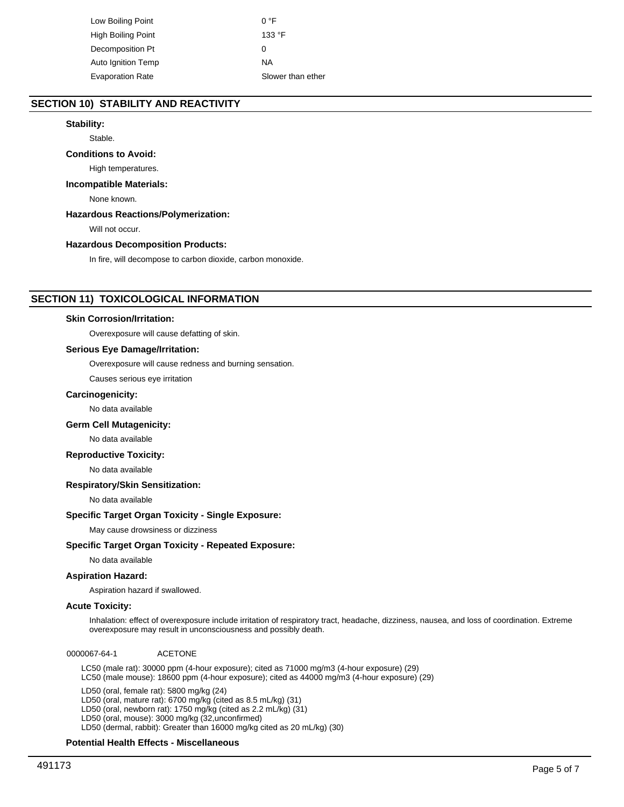Low Boiling Point 0 °F High Boiling Point 133 °F Decomposition Pt 0 Auto Ignition Temp NA Evaporation Rate Slower than ether

# **SECTION 10) STABILITY AND REACTIVITY**

# **Stability:**

Stable.

## **Conditions to Avoid:**

High temperatures.

## **Incompatible Materials:**

None known.

# **Hazardous Reactions/Polymerization:**

Will not occur.

#### **Hazardous Decomposition Products:**

In fire, will decompose to carbon dioxide, carbon monoxide.

# **SECTION 11) TOXICOLOGICAL INFORMATION**

#### **Skin Corrosion/Irritation:**

Overexposure will cause defatting of skin.

#### **Serious Eye Damage/Irritation:**

Overexposure will cause redness and burning sensation.

Causes serious eye irritation

#### **Carcinogenicity:**

No data available

## **Germ Cell Mutagenicity:**

No data available

# **Reproductive Toxicity:**

No data available

## **Respiratory/Skin Sensitization:**

No data available

## **Specific Target Organ Toxicity - Single Exposure:**

May cause drowsiness or dizziness

#### **Specific Target Organ Toxicity - Repeated Exposure:**

No data available

## **Aspiration Hazard:**

Aspiration hazard if swallowed.

## **Acute Toxicity:**

Inhalation: effect of overexposure include irritation of respiratory tract, headache, dizziness, nausea, and loss of coordination. Extreme overexposure may result in unconsciousness and possibly death.

0000067-64-1 ACETONE

LC50 (male rat): 30000 ppm (4-hour exposure); cited as 71000 mg/m3 (4-hour exposure) (29) LC50 (male mouse): 18600 ppm (4-hour exposure); cited as 44000 mg/m3 (4-hour exposure) (29)

LD50 (oral, female rat): 5800 mg/kg (24) LD50 (oral, mature rat): 6700 mg/kg (cited as 8.5 mL/kg) (31) LD50 (oral, newborn rat): 1750 mg/kg (cited as 2.2 mL/kg) (31) LD50 (oral, mouse): 3000 mg/kg (32,unconfirmed) LD50 (dermal, rabbit): Greater than 16000 mg/kg cited as 20 mL/kg) (30)

#### **Potential Health Effects - Miscellaneous**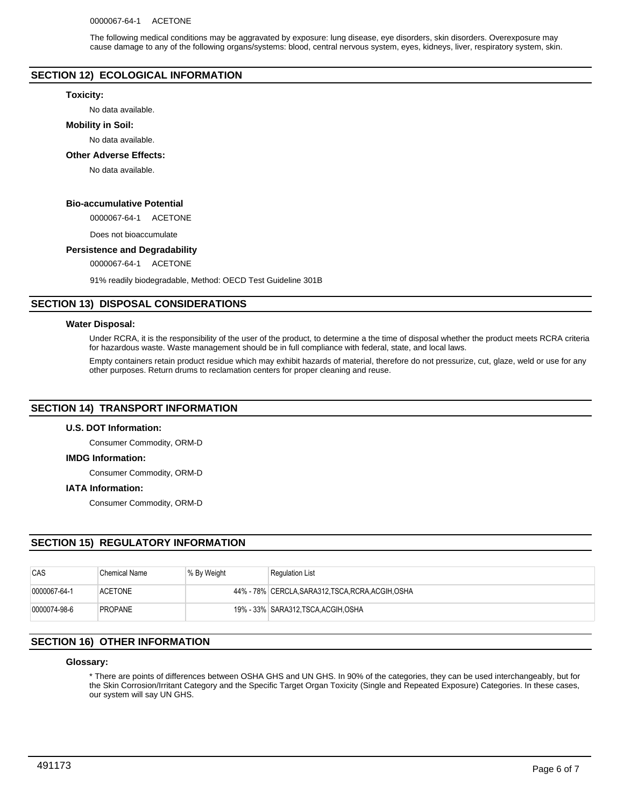The following medical conditions may be aggravated by exposure: lung disease, eye disorders, skin disorders. Overexposure may cause damage to any of the following organs/systems: blood, central nervous system, eyes, kidneys, liver, respiratory system, skin.

# **SECTION 12) ECOLOGICAL INFORMATION**

#### **Toxicity:**

No data available.

#### **Mobility in Soil:**

No data available.

#### **Other Adverse Effects:**

No data available.

# **Bio-accumulative Potential**

0000067-64-1 ACETONE

Does not bioaccumulate

# **Persistence and Degradability**

0000067-64-1 ACETONE

91% readily biodegradable, Method: OECD Test Guideline 301B

# **SECTION 13) DISPOSAL CONSIDERATIONS**

#### **Water Disposal:**

Under RCRA, it is the responsibility of the user of the product, to determine a the time of disposal whether the product meets RCRA criteria for hazardous waste. Waste management should be in full compliance with federal, state, and local laws.

Empty containers retain product residue which may exhibit hazards of material, therefore do not pressurize, cut, glaze, weld or use for any other purposes. Return drums to reclamation centers for proper cleaning and reuse.

# **SECTION 14) TRANSPORT INFORMATION**

# **U.S. DOT Information:**

Consumer Commodity, ORM-D

#### **IMDG Information:**

Consumer Commodity, ORM-D

#### **IATA Information:**

Consumer Commodity, ORM-D

# **SECTION 15) REGULATORY INFORMATION**

| CAS          | <b>Chemical Name</b> | % By Weight | <b>Regulation List</b>                             |
|--------------|----------------------|-------------|----------------------------------------------------|
| 0000067-64-1 | <b>ACETONE</b>       |             | 44% - 78% CERCLA, SARA312, TSCA, RCRA, ACGIH, OSHA |
| 0000074-98-6 | <b>PROPANE</b>       |             | 19% - 33% SARA312.TSCA.ACGIH.OSHA                  |

# **SECTION 16) OTHER INFORMATION**

### **Glossary:**

\* There are points of differences between OSHA GHS and UN GHS. In 90% of the categories, they can be used interchangeably, but for the Skin Corrosion/Irritant Category and the Specific Target Organ Toxicity (Single and Repeated Exposure) Categories. In these cases, our system will say UN GHS.